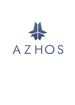# AZHOS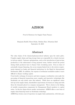## **AZHOS**

Proof of Existence for Supply Chain Finance

Benjamin Rudolf, Marcel Kuhs, Mathias Baer, Sebastian Zintl September 10, 2019

## **Abstract**

The value chains of the chemical-pharmaceutical industry span the entire globe. Complex supply chains and long storage times are responsible for a drastic increase in tied-up capital. Customer optimizations, such as the introduction of just-in-time production or the enforcement of long payment terms, further extend the period during which producers have to finance their circulating assets. Even in times of potentially cheaper financing, the access remains limited due to the stricter requirements imposed on banks and financial institutions by the Bank for International Settlements (BIS). In addition, the expense of settlement modalities makes it more difficult to finance working capital.

Cross-border exchange of resources and inter-company coordination costs make the processing of financial transactions more complex and innovative technologies like blockchain can only slowly enter this industry. While there are significant values tied up in the supply chains, shareholders expectations of returns are rising and with them the demands placed on company management. This is shown in the linking of variable remuneration components for Management Board members to capital ratios. In this key figure-driven market environment, AZHOS offers a new form of supply chain financing based on blockchain technology.

AZHOS has twenty years of experience in supply chain optimization, with data gen-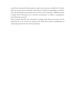erated from thousands of data points in tanks and warehouses worldwide. By utilizing latest measurement technology with industry standard compatibility in combination with immutable measurement data stored on the blockchain, AZHOS provides a unique Proof of Existence in a trust-free environment, to enable a consumptionbased financing of goods.

This document describes the automation of supply chain finance processes and the infrastructure to be created, the design of the AOS token and the establishment of a financing network for the chemical industry.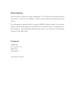## **Description**

This document contains the Azhos whitepaper V 1.0.8 Azhos will constantly keep it up-to-date to the best of its abilities so that it reflects the latest developments and events.

The whitepaper is intended solely to present AZHOS's business model, the economic context and the financial basis of the STO and is intended solely as a supplement to the Prospectus. The whitepaper therefore does not serve as a basis for an investment decision in the AOS token.

## **Contact**

AZHOS AG Dr. Grass-Str. 12, 9490 Vaduz, Liechtenstein

www.azhos.io/contact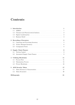## **Contents**

| $\mathbf{1}$ | Introduction                     |                             |                |  |
|--------------|----------------------------------|-----------------------------|----------------|--|
|              | 1.1                              |                             | $\mathbf{1}$   |  |
|              | 1.2                              |                             | $\overline{2}$ |  |
|              | 1.3                              |                             | $\overline{2}$ |  |
|              | 1.4                              |                             | 3              |  |
| $\bf{2}$     |                                  | Recording of Inventory      | 5              |  |
|              | 2.1                              |                             | 5              |  |
|              | 2.2                              |                             | 6              |  |
|              | 2.3                              |                             | 8              |  |
| 3            | <b>Supply Chain Finance</b><br>9 |                             |                |  |
|              | 3.1                              |                             | 9              |  |
|              | 3.2                              |                             | 9              |  |
| 4            |                                  | <b>Utilizing Blockchain</b> | 11             |  |
|              | 4.1                              |                             | -11            |  |
|              | 4.2                              |                             | 15             |  |
|              | 4.3                              |                             | 16             |  |
| 5            |                                  | <b>AOS</b> Security Token   | 17             |  |
|              | 5.1                              |                             | 17             |  |
|              | 5.2                              |                             | 20             |  |
|              |                                  | <b>Bibliography</b>         | 21             |  |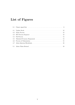## **List of Figures**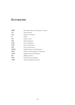# **Acronyms**

| <b>ERP</b>  | Enterprise Resource Planning - System |
|-------------|---------------------------------------|
| GI          | Goods Issued                          |
| IoT         | Internet of Things                    |
| $\mathbf 0$ | Order                                 |
| OC          | Order Create                          |
| <b>OR</b>   | Order Response                        |
| PoD         | Proof of Delivery                     |
| PoE         | Proof of Existence                    |
| PoI         | Proof of Inventory                    |
| <b>RFID</b> | Radio-Frequency Identification        |
| <b>SAP</b>  | Software Anwendungen Programme        |
| <b>SCM</b>  | Supply Chain Management               |
| SN          | <b>Shipping Notice</b>                |
| STO         | Security Token Offering               |
| VMI         | Vendor Managed Inventory              |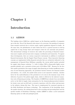## <span id="page-7-0"></span>**Chapter 1**

## **Introduction**

#### <span id="page-7-1"></span>**1.1 AZHOS**

The banking crisis of 2008 has a global impact on the financing capability of companies up to this day. Even if the financial crisis seems to be overcome, the granting of corporate loans remains restricted due to stricter equity capital regulations imposed on banks. At the same time, the globalization of value chains has led to a general increase in tied-up capital due to long storage times and transport routes for raw materials and products. The international exchange of resources also makes the processing of financial transactions more complex and increases inter-company coordination and transaction. To oppose these developments, there are various cooperative instruments in addition to traditional financial instruments, like the Supply Chain Finance concept. These innovative financing concepts are implemented within financial networks that are exclusively dedicated to the management of financial flows McKinsey quantifies the current global market potential for supply chain finance solutions "[…] with 2 trillion USD in financeable highly secure payables globally and a potential revenue pool of 20 billion USD". Reasons for the fact that market potentials in the range of supply chain financing are besides insufficient awareness of novel financing approaches, the persistent barriers between the financial market and industry. As a result, the market lacks access to new innovative solutions. Another factor for the underutilisation of the potential is to be seen in the immense scope of the deliveries of goods of the global supply chain, which is reflected in the inherent transaction costs of financing processing. The founders of AZHOS have already been successfully active in the field of supply chain automation for the chemical-pharmaceutical industry for twenty years and can fall back to extensive experience with the culture and processes in the industry during this time. The team is complemented by renowned expertise in the fields blockchain and finance technology. The combination of the knowledge about the market situation, the existing know-how in the recording and processing flows and the specific benefits of blockchain technology, enables AZHOS to utilize a novel automated financing option on bulk and packaged goods.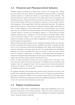#### <span id="page-8-0"></span>**1.2 Chemical and Pharmaceutical Industry**

Chemical products surround us in almost every second of our everyday lives. Hardly any other industry has such a diverse and comprehensive product portfolio, a comparably customer spectrum or is linked more closely to a large number of other industries. The chemical industry is further characterized by the high added value of its products and production processes. Chemical products pass diverse processing steps at different locations around the globe until they are expended by customers or end consumers. End-toend transparency of the supply chain is therefore considerable important. The chemicalpharmaceutical industry is characterised by globally networked supply relationships, as well as a high willingness to invest and innovate and a forward-looking view of capital ratios. For the year 2018 the German Association of the Chemical Industry(VCI) expects a further increase in research and development volume to 11 billion EUR by German chemical companies alone. Compared to the all-time high of 10.8 billion EUR in 2017, a new record will be achieved. Also or precisely because of blockchain technology, the industry is feverishly working on new fields of applications and the formation of various research groups and organisations.

Buyers of chemical products depend on the continuous availability of their raw materials. In order to guarantee the required constant availability and quality of supplies, the main focus is set on monitoring, automating and digitizing entire supply chains through measurement technologies and sensors along the path. By implementing these technologies, shipments can now be controlled and executed as needed, to ensure the flow of goods meets the customer's requirements. In addition to consumption-based provisioning, an automated consumption-based financing is the next step in releasing capital tied-up in the supply chain and thus reducing capital and transaction costs.

In fact, in today's production economy, the terms of payment only cover parts of the time where the capital is tied up in current assets. In addition, there are production and transport times or consignment stocks. The time span between leaving the producer's warehouse, the delivery and storage at the customer's warehouse, up to reimbursement, can therefore easily cover several months.

By applying techniques like factoring these periods could be shortened, but this is only possible with considerable administrative effort or not at all. Despite the potential financing volume of hundreds of billions of euros of global capital tied-up in the supply chain. While buyers benefit from long payment periods and consignment agreements, sellers have to bear the costs in the form of financing current assets.

#### <span id="page-8-1"></span>**1.3 Digital transformation**

The Internet of Things (IoT), is predestined for supply chain optimization and an omnipresent development in the producing industry. With the current technical development, and an ongoing trend to cheaper devices, the willingness of companies to implement "smart" processes increases noticeably.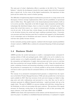The main part of today's digitization efforts is partaken in the field of the "Connected Industry", whereby the development towards the smart supply chain with all its potential plays a special role. In the course of this digital transformation, the importance of data pools and the entities they control is further growing.

The difficulties of implementing digital transformation processes lie to a large extent in the discrepancy between strategic implementation efforts and the possibilities of operational units to follow them. This applies both to the chemical-pharmaceutical industry itself, as to its service providers. Especially in the field of supply chain automation and disruptive technologies like distributed ledgers, there is a lack of so-called "real-world assets". This means that actual data sources, e.g. sensors or measurement technology, are limited or even do not exist. At the same time, certain changes can only take place successively due to the deviation between the actual and target conditions mentioned above. Conversely, core processes and their functions must first be analyzed and mapped to the functionality of new technologies such as blockchains and smart contracts. The need for integration of real-time data quickly becomes obvious.

In this constantly growing market segment, combined with the largely unused possibilities of smart contracts, AZHOS offers a solution for automated financing of bulk and packaged goods.

#### <span id="page-9-0"></span>**1.4 Business Model**

AZHOS provides the needed instruments to enable a consumption-based, automated financing solution of bulk and packaged goods, which could so far not be realized at reasonable expense or in a legally permissible manner. AZHOS has decades of experience in the automation and digitization of supply chain processes and active access to real-time data from production and storage facilities around the world. Using the described data points, consisting of sensors and measuring technology as well as remote-terminal-units at the production or consumption site, it is already possible to call up stocks of bulk goods in real time in order to process them for automated delivery or the settlement of consignment stocks.

The concept of an automated consumption-based payment, is adapted from the experience in the field of Vendor-Managed Inventory (VMI) and only possible due to the features made available by DLT. Real time inventory levels and stock changes are linked to shipping notes and order confirmations and processed in a way, that they can be used to automate payments by affiliated financial institutions - capital previously tied up in the supply chain. The goal of AZHOS is to process existing real-world data, storing them on the blockchain, as well as its processing with smart contracts. The provision of the signals necessary for financing, storing them on the blockchain as well as their processing with smart contracts, is the main added value of AZHOS.

AZHOS works closely with representatives of the industry and the financial sector to implement the project. In addition to established financial institutions, it is planned to expand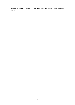the circle of financing providers to other institutional investors by creating a financial network.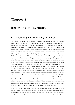## <span id="page-11-0"></span>**Chapter 2**

## **Recording of Inventory**

#### <span id="page-11-1"></span>**2.1 Capturing and Processing Inventory**

The AZHOS team has its origins in the digitization of supply chain processes and automation engineering, with a particular focus on vendor managed inventory, a concept in which the supplier takes over responsibility for the replenishment of the customer warehouse. In order for the producer to be able to fulfil its obligations, real time insight into the stocks at the customer's site is necessary. These insights are made available by service providers or customers via their own measurement technology, which corresponds to the requirements of the respective location, at worldwide deposits on the producer or customer site.

Unlike packaged goods, which can be counted and scanned with manageable effort, the quantification of bulk goods needs specific measurement technologies. Storage and filling levels of silos or tanks are individually captured by applying various methods according to the requirements at the respective location. The decision which technology to use is individualy determined by material, local peculiarities and environmental conditions.

For example, radar sensors, this class of sensors is used for bulk goods. Radar signals react to two basic electrical quantities: The electrical conductivity and dielectric property of a substance. Even very weakly conductive materials guarantee a sufficiently large signal reflection. Radar sensors measure distances continuously and contactlessly. The distance corresponds in reverse to the filling level. The measuring principle is that the sensor antenna emits the smallest radar signals as short pulses, which are reflected by the medium and received as radar echoes. The transit time of the reflected radar pulse is directly proportional to the distance travelled. If the container geometry is known, the exact filling level can be calculated. Accurate real-world data is necessary for supply chain automation and a valid data source for the supply chain financing of goods.

In the case of bulk goods, one of the most important prerequisites is the technically distinct documentation of the inventory levels. In addition to the mere acquisition of data, the conditions on site, individual logistic processes and a failure-proof data transmission are taken in account. Once the real time stock has been recorded and transferred, they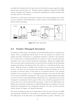are linked and visualized with the master data of the location (storage capacities, replenishment times, forecast data, etc.). Through a further integration (connection of the ERP systems of supplier and customer), an automated replenishment is already possible today and daily practice in the industry.

Furthermore, a link between determined inventories and existing shipping notes creates an exact verification (Proof-of-Inventory), which is stored on the blockchain and can be used for further processing.

<span id="page-12-1"></span>

**Figure 2.1** Classic signal flow

#### <span id="page-12-0"></span>**2.2 Vendor Managed Inventory**

To explain the VMI concept, the material- and the financial-flow must be considered separately. From a management-of-goods point of view, the products are created by the supplier and either transported to a consignment warehouse or directly to the customersite. In both cases it is equally possible for the customer to remove the goods from the warehouse in the event of current production requirements. Because the supplier effectively owns these assets until the goods are removed from the warehouse by the purchasing company and therefore also finances them, this results in a "cash flow/goods flow asymmetry": While the goods are available to the customer, he does not have to finance them as usual - the assets are not recorded in the customer's books and therefore do not tie up equity or borrowed capital. If the goods are not delivered directly to the incoming warehouse of the customer, but to a consignment warehouse, the service provider takes over the entire material flow management. This means, that detailed logistics knowledge is necessary and the corresponding logistics infrastructure (e.g. department stores, means of transport or warehouses) must be present. The service provider is remunerated for its services and a fee is due for material flow processing. As part of the VMI solution, the logistics service provider could assume an additional financing role in addition to the pure material flow management in the consignment warehouse. For this, the service provider usually requires the support of a financial institution.

The stocks of packaged goods can be determined by sales and parts lists from the ERP and sequentially transmitted to the producer via suitable software interfaces. Inventory from bulk goods, on the other hand, are considerably harder to gather. Therefore, as an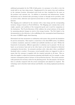additional prerequisite for the VMI of bulk goods, it is necessary to be able to view the stocks held at any time using sensors. Supplemented by the master data and conditions at the customer location, determined stock levels are then visualized for the users on the producer and customer site. In addition to inventories and infrastructure, further information can be obtained after processing, in house or through service providers, such as current orders, deliveries and expected arrival dates as well as consumption and order histories.

The shipping note confirmed by the customer with a time stamp and the corresponding inventory change is known as Proof-of-Delivery. The Shipping note contains data on the weight, quantity and condition of the transported goods and is used for comparison at the destination. The Proof-of-Inventory (PoI) validates the actual existence of the goods by measuring physical changes in stock at the storage location. The PoI, linked to the documentation on the deliveries, is the scaffolding for the consumption-based financing in the sense of AZHOS supply chain financing.

Determined real time inventories in combination with master data provide the foundation for process automation. This requires a connection to the client ERP-system. In addition to industry standards, numerous certified and auditable interfaces are used. Within the framework of automation, different approaches to solutions can be pursued. On the one hand, on an inventory basis and on the other hand, on the basis of planned or historical consumption forecast-data. An automatic purchase order, takes place when a predefined threshold value is reached. If necessary, several parallel orders are triggered in order to ensure that the customer is supplied with the required materials at all times. This enables the supplier to adjust his production planning individually and, for example, to plan customer consumption peaks in advance via his production forecast. The system automatically generates the necessary orders for the planning period. For this purpose, the forecast data is cyclically compared with the actual consumption and adjusted as required. The technology used is therefore fault-tolerant and flexible, even during unplanned production peaks.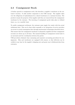#### <span id="page-14-0"></span>**2.3 Consignment Stock**

A further aproach is consignment stock, this describes a supplier's warehouse at the customer's location. It adds another component to the VMI concept. The supplier takes over the obligations of replenishment for a shared warehouse at a customer-location. The products remain the property of the supplier until they are removed from the consignment warehouse by the customer. The invoicing of consignment goods takes place at defined times, e.g. on a monthly basis.

To enable consignment settlement, the customer must supply the vendor with the actual withdrawal data. This can be done either manually or by integration of service providers via access to actual consumption data through measurement technologies described above. This ensures that the consignment warehouse is adequately supplied and that consignment accounts are drawn up at all times. The manual handling of consignment stocks leads to an increased need for coordination between the parties.

VMI procedures eliminate time consuming and expensive accounting procedures for consignments. Silos and warehouses are equipped with sensors, so that deliveries can be verified at any time by the supplier's shipping note and grant exact withdrawal-data from customers.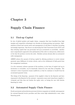## <span id="page-15-0"></span>**Chapter 3**

## **Supply Chain Finance**

#### <span id="page-15-1"></span>**3.1 Tied-up Capital**

In view of global markets and supply chains, companies that have benefited from high margins and competitive advantages over decades are facing growing cost pressure. Optimization of fixed and current assets and management of cash flows is therefore becoming increasingly important. One focus is on shortening the Cash Conversion Cycle (CCC) and thus releasing capital that was previously tied up in inventories or receivables. Another more comprehensive approach is the optimization of the order-to-cash process, which starts at the time the producer receives the order. Modular systems already allow an automated order management.

AZHOS reduces the amount of tied-up capital by allowing producers to receive instant payments upon fulfilment of certain criteria, such as the withdrawal of bulk goods from the consignment warehouse.

A so far customary advance payment of the producer, in the form of capital tied up in inventories or receivables, can be drastically reduced by the early flow of liquidity. The customer's terms of payment remain unaffected, so that he continues to benefit from his accustomed payment terms.

The design of the financing - payment of the supplier's claim by the financier and later repayment to the financier by the customer - represents a mere asset swap from a supplier´s viewpoint and thus does not burden the equity ratio, as beeing the case with interim financing by credit.

#### <span id="page-15-2"></span>**3.2 Automated Supply Chain Finance**

Goods movements and production processes between companies are initially untransparent for external financial service providers and thus create high administrative costs, when financing goods.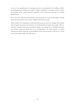As far as the quantification of packaged goods is accomplishable with sufficient effort, the quantification of bulk goods requires complex equipment at storage locations. Today, the majority of the major chemical companies in the world are connected via existing infrastructure.

So far, the data collection described above has primarily been used to streamline ordering and delivery processes and to ensure sufficient production stocks.

Azhos enables the integration of automated financing processes by linking data already used in logistic processes and storing it on the blockchain for further processing. This enrichment of supply chain data automation enables cost savings due to simplified processes and releases capital previously tied up in working-assets. In other respects, it enables transaction-related valuations of risk-weighted assets that previously could not be carried out at reasonable expense for bulk goods.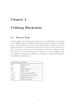## <span id="page-17-0"></span>**Chapter 4**

## **Utilizing Blockchain**

#### <span id="page-17-1"></span>**4.1 Process Flow**

By using modern sensor technology and storing the data on a blockchain at a certain point of time, AZHOS enables later validation of the physical existence of bulk goods. AZHOS creates an information and financing network between suppliers, customers, banks and financial institutions. The financing of bulk goods has so far not been possible due to legal restrictions and the actual processing modalities of thousands of deliveries per day. In the same way as automated, demand-driven shipments are executed, AZHOS provides an automated, consumption-based financing. An example-case of Supply-Chain Finance over AZHOS is described below:

| Abbreviation | Meaning:                 |
|--------------|--------------------------|
| OC           | Order Create             |
|              | Order                    |
| ОR           | Order Response           |
| <b>SN</b>    | Ship Notice              |
| A-SN         | Advanced - Ship Notice   |
| $SC-F$       | Supply Chain - Financing |
| T-EM         | Tokenized e-money        |
| DR.          | Delivery Receipt         |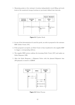<span id="page-18-0"></span>1. Measuring points at the customer's location independently record filling and stock levels of the monitored storage locations at previously defined time intervals.



**Figure 4.1** Update Stock

- 2. In case of the determination of a need for goods, an order is proposed to the customer ERP (Order Create; OC).
- 3. If the proposal is accepted, an Order Create is then transferred to the supplier-ERP to trigger a corresponding delivery.
- 4. The supplier ERP-system confirms the incoming Order Create (OC) and makes an Order Response (OR).
- <span id="page-18-1"></span>5. After the Order Response, a Shipment Notice with the planned Shipment time (SN-planned) is issued to AZHOS.



**Figure 4.2** Order Process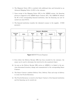- 6. The Shipment Notice (SN) is enriched with additional data and forwarded as an Advanced Shipping Notice (A-SN) to the customer.
- 7. Upon receipt of the Shipping Notice (SN) in the AZHOS system, the financing process is triggered in the AZHOS Smart Contract (SC). The AZHOS SC informs the SC of the corresponding financial institution, that the financing can now be carried out (start SC-F).
- 8. The financial institution transfers the tokenized e-money to the supplier. (T-EM payment).

<span id="page-19-0"></span>

**Figure 4.3** SCF Process Sequence

- 9. Even before the Delivery Receipt (DR) has been recorded by the customer, the sensor can be used to determine the stock level in the monitored object.
- 10. As soon as the Delivery Receipt (DR) arrives at AZHOS, it is linked to the previous determined inventory change and communicated to the corresponding Smart Contract.
- 11. The Smart Contract combines Delivery Note, Delivery Time and scope of delivery to create the Proof-of-Inventory.
- 12. The Proof-of-Inventory is stored in the Smart Contract of the financial institution and the financing can be carried out.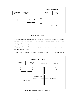<span id="page-20-0"></span>

**Figure 4.4** PoI Process

- 13. The customer pays the outstanding amount to the financial institution after the usual due date. The customer also uses tokenized e-money for this purpose or pays directly with fiat money.
- 14. The Smart Contract of the financial institution passes the financing-fee on to the supplier (Request\_fee).
- 15. The financial institution then settles the transaction fee with AZHOS (fee\_share).

<span id="page-20-1"></span>

**Figure 4.5** Tokenized E-money Repayment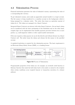### <span id="page-21-0"></span>**4.2 Tokenization Process**

Financial institutions guarantee the value of tokenized e-money, representing the value of a corresponding fiat currency.

To get tokenized e-money, users make an apparently normal transfer to a target account. The fiat money is being transferred to a omnibus account in the background, which is being managed by a tokenizer entity. The entity then issues an equivalent amount of tokens for it. The tokens are managed via a Smart Contract.

Integrated Smart Contracts can interact with other Smart Contracts. On one hand, tokens can be transferred with the basic mechanisms of the blockchain and on the other hand, complex logic can be implemented that handles payment processes between two or more parties, e.g. multi-signature wallets or other capital market instruments.

If the user requests a token payout, he can do this directly and without detours via a Smart Contract call. The entity burns the tokens and releases the fiat money to the specified account.

A regulated institution is required for the tokenization process. The basic requirement is an Electronic-Money-Entity license (EME), or a banking license.

<span id="page-21-1"></span>

**Figure 4.6** Process of Tokenization

Programmable properties of the tokens are, for example, an overdraft credit function or fiduciary function that sends the held token back to the sender or onward to the recipient when certain conditions occur (expired timeout or transaction execution of a releaser address).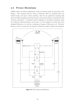### <span id="page-22-0"></span>**4.3 Private Blockchain**

AZHOS utilizes the Quorum Blockchain, which is developed under the patronage of JP-Morgan. This enterprise-oriented version of Ethereum offers an enterprise-ready distributed ledger and smart contract platform, ideal for any application requiring high speed and high throughput processing of private transactions within a permissioned group of known participants. It addresses specific challenges to blockchain technology adoption within the financial industry and beyond. It is also designed to develop and evolve alongside Ethereum, as it only has a minimum of changes to Ethereum's core. Therefore, Quorum is able to incorporate the majority of Ethereum updates quickly and seamlessly.



**Figure 4.7** Azhos Quorum Blockchain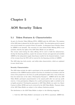## <span id="page-23-0"></span>**Chapter 5**

## **AOS Security Token**

#### <span id="page-23-1"></span>**5.1 Token Features & Characteristics**

As part of a Security Token Offering (STO), AZHOS emits the AOS token. The emission of the AOS token is planned for the first quarter of 2019. The subscription period is spread over several rounds over a period of three (3) months. A subsequent issue of further tokens by AZHOS is not intended. The execution of a later Initial Public Offering (IPO) is not excluded, whereby the rights of the AOS Token Holder are not affected.

The revenue raised during the token offering will be used to build the infrastructure, develop the financing platform, acquire the necessary licenses and approvals and establish AZHOS as the independent supply chain finance enabler for the chemical industry. A part of the revenues from the STO will be reserved for the financing activities of AZHOS.

The AOS token has both security- and utility-token characteristics, which are explained in more detail below.

#### **Security Characteristics**

The AOS tokens include the right to participate in the successful development and implementation of the AZHOS business model in the form of a dividend in accordance with the terms of the prospectus in the form of a profit participation right with a term of 30 years from the initial issue of the token ("Participation Payment"). AZHOS will let the AOS Token Holder participate proportionately in the annual profit after tax and any profit reserves. A loss participation obligatory for a profit participation right is excluded as far as legally permitted. Participation payments to AOS Token Holder are made via a Smart Contract in Ether (ETH) and can be retrieved by the AOS Token Holder. Payment claims of the AOS Token Holder are subject to the ordinary limitation periods.

The distribution to the AOS Token Holder is subject to the following staggering:

1. Until the AOS Token Holder's investment in the STO is amortized, AZHOS dis-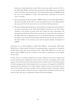tributes an annual profit share (profit after tax and any profit reserves) of 51% to the AOS Token Holder. Revenues from the Security Token Offering are not included in the calculation of the annual profit. If the distributable profits of AZHOS during the term are not sufficient to achieve full amortization, repayment at the end of term is excluded.

- 2. After amortization of the investment, AZHOS will pay to the AOS Token Holder a 25% share of profits (profit after tax and any profit reserves) in the following three (3) years and 15% in the years four (4) to six (6) after full amortization.
- 3. The General Meeting shall decide on the distribution of profits from the seventh (7) year after amortisation of the AOS Token Holders investment in the STO. When deciding on the amount of payouts from the seventh year after amortisation, the Annual General Meeting will take into account factors such as the value retention of the AOS token and an appropriate ratio to any dividend payments to shareholders. In addition, the Annual General Meeting should take into account the payment to the token holders in the previous years and the general business development of AZHOS.

The Issuer has no other liabilities to AOS Token Holders. In particular, AOS Token Holder have no claims against the Issuer for ongoing payments, repayments or redemption of AOS Token other than those described above. AOS Token Holders do not have any claims against AZHOS, with the exception of the claim to participation in the defined annual result.

To date, there is no uniform standard for a Security Token structure and it appears that several standards and configurations will be used in the future, depending on the token purpose, the jurisdiction and its legal framework for securities. One of the features almost all of the emerging security token standards have in common, is the support for the ERC-20 standard and the inheritance of its token transfer methods *transfer()* and *transferFrom()*, where both methods are being overridden with an additional check to determine whether or not a transfer should be allowed to proceed. Azhos will also implement this feature and thus the token will only be transferable between KYCed participants.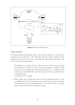

**Figure 5.1** Azhos Token Reward

#### **Utility Features**

By making deposits and holding the tokens, token holders contribute to a positive price development of the AOS token. The AOS token offers the investors additional utility functions to take account for its trust. Concerning the utility characteristic, there could be two options for the token holders:

- 1. Tokenholders are accredited investors. They can invest with fiat money, whereby the AOS tokens are used as an access to the financing platform. A deposit of AOS Token is used as a multiplier for the fiat money investment. E.g. 1 AOS token with an initial value of 0,20 EUR allows the holder to invest 10 times as much fiat money as the initial value
	- $(1 \text{ AOS } x \cdot 0.2 \times 10 = 2 \text{ EUR}).$
- 2. Token holders can use AOS token itself as a kind of financing resource. In this case AZHOS takes over the financing process and AOS tokens are locked, providing an additional security for the financing process. By using the Token as a deposit, holders do also participate in the shipments revenue.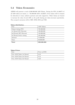## **5.2 Token Economics**

AZHOS will generate a total of 900.000.000 AOS Tokens. During the STO, 81,6667% of all AOS tokens are issued, i.e. 735.000.000 AOS. 18,3333% of the tokens will be retained for allocation to team, industry partners and early supporters. Other tokens are burned to increase the value of each AOS, as the profit sharing per token increases equivalently. The accepted currencies will be CHF, ETH, EUR and USD.

| <b>Item</b>              | AOS Tokens  |
|--------------------------|-------------|
| Output during STO        | 735.000.000 |
| 1st Round 50% Discount   | 100.000.000 |
| 2nd Round 30% Discount   | 150.000.000 |
| 3rd Round before closing | 485.000.000 |
| Advisors                 | 75.000.000  |
| Team                     | 90.000.000  |
| <b>Total</b>             | 900.000.000 |

**Token distribution:**

**Token Prices:**

| <b>Item</b>               | Price in EUR |
|---------------------------|--------------|
| Price AOS Token 1st Round | 0.10         |
| Price AOS Token 2st Round | 0.14         |
| Price AOS Token 3st Round | 0.20         |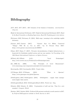## **Bibliography**

- [ACC, 2017] ACC (2017). 2017 elements of the business of chemistry. *americanchemistry.com*.
- [Bank for International Settlement, 2017] Bank for International Settlement (2017). Basel iii. In *Basel Committee on Banking Supervision, Basel III: Finalising post-crisis reforms*.
- [Dictionary, 2018] Dictionary, B. (2018). Bulk cargo | meaning in the cambridge english dictionary.
- [Gartner., 2017] Gartner. (2017). "Gartner Says 8.4 Billion Connected "Things" Will Be in Use in 2017, Up 31 Percent From 2016". https://www.gartner.com/newsroom/id/3598917.
- [Glaser, 2017] Glaser, F. (2017). Pervasive decentralisation of digital infrastructures: a framework for blockchain enabled system and use case analysis. In *Proceedings of the 50th Hawaii International Conference on System Sciences*.
- [ICEweb, kD] ICEweb (k.D.). "Level Technologies". http://www.iceweb.com.au/Technical/LevelTechnologies.html.
- [Inc., 2000] Inc. (2000). "The Principles of Level Measurement". www.sensorsmag.com/components/principles-level-measurement.
- [Investopedia, 2018] Investopedia (2018). Crypto token.
- [J.P.Morgan, 2018] J.P.Morgan (2018). "What is Quorum". https://www.jpmorgan.com/global/Quorum.
- [OrbitLogistics, 2018] OrbitLogistics (2018). Orbitlogistics supply chain management/supply chain matrix.
- [OrbitLogisticsBrasil, 2018] OrbitLogisticsBrasil (2018). Portal vmi blog.
- [Schneier, 2004] Schneier, B. (2004). Cryptanalysis of md5 and sha: Time for a new standard. *Computer World*.
- [Statista, 2018] Statista (2018). Preferred b2b payment methods in north america in 2017. In *Preferred B2B payment methods in North America in 2017*.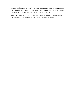- [Steffens, 2017] Steffens, T. (2017). Working Capital Management als Instrument des Finanzcontrolling. https://www.controllingportal.de/Fachinfo/Grundlagen/Working-Capital-Management-als-Instrument-des-Finanzcontrolling.html.
- [Yahsi, 2017] Yahsi, B. (2017). *Financial Supply Chain Management: Erfolgsfaktoren der Gestaltung von Finanznetzwerken*. PhD thesis, Technische Universität.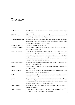# **Glossary**

| <b>Bulk Goods</b>         | Goods such as oil or chemicals that are not packaged in any type     |
|---------------------------|----------------------------------------------------------------------|
|                           | of container.                                                        |
| <b>ERP</b> System         | Modular software system with which the resources and processes of    |
|                           | a company can be coordinated and managed.                            |
| <b>Consignment Stock</b>  | Describes a practice where a supplier owns the goods in a warehouse  |
|                           | at a customer site. The customer is not billed by the supplier until |
|                           | he removes goods from the warehouse.                                 |
| <b>Crypto Currency</b>    | Native currency of a Blockchain.                                     |
| <b>Proof of Delivery</b>  | The shipping note confirmed by the customer and the corresponding    |
|                           | inventory change on site.                                            |
| <b>Proof of Existence</b> | Data stored together with a timestamp on a blockchain. With the      |
|                           | immutability of a blockchain, time of storage and existence at the   |
|                           | time of storage can be proven. A comparison between off-chain data   |
|                           | and on-chain data can prove, that the compared data set was not      |
|                           | changed at a later stage in its existence.                           |
| Proof of Inventory        | A link between determined inventories and existing shipping notes,   |
|                           | stored on the blockchain.                                            |
| <b>SCM</b>                | The practice of implementing, planning and optimizing processes in   |
|                           | a supply chain.                                                      |
| <b>Smart Contract</b>     | Code which is executed on the blockchain and whose results are       |
|                           | verified by it. E.g. a Token Contract.                               |
| <b>STO</b>                | Not clearly defined. As an example, an entity binds a Security to a  |
|                           | token on a blockchain.                                               |
| Token                     | Digital money substitute medium that is created through a Smart      |
|                           | Contract on a blockchain. A blockchain token represents the good     |
|                           | or value predetermined by the issuing entity.                        |
| <b>Token Holder</b>       | Someone who owns the private keys to the crypto address, to which    |
|                           | tokens are assigned.                                                 |
| <b>Token Standard</b>     | A defined set of functions a Token Smart Contract should provide.    |
|                           | E.g. see ERC20 for the Ethereum blockchain.                          |